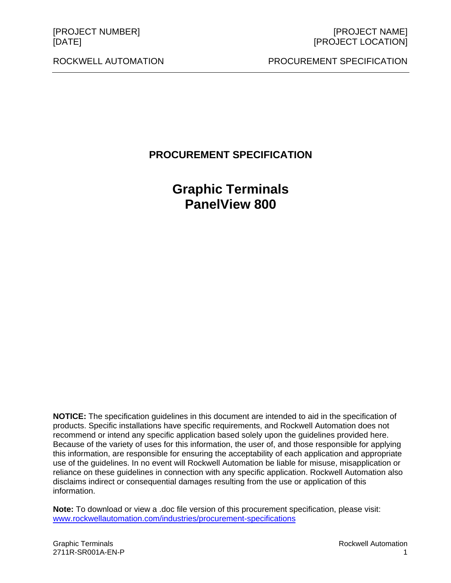ROCKWELL AUTOMATION PROCUREMENT SPECIFICATION

# **PROCUREMENT SPECIFICATION**

**Graphic Terminals PanelView 800** 

**NOTICE:** The specification guidelines in this document are intended to aid in the specification of products. Specific installations have specific requirements, and Rockwell Automation does not recommend or intend any specific application based solely upon the guidelines provided here. Because of the variety of uses for this information, the user of, and those responsible for applying this information, are responsible for ensuring the acceptability of each application and appropriate use of the guidelines. In no event will Rockwell Automation be liable for misuse, misapplication or reliance on these guidelines in connection with any specific application. Rockwell Automation also disclaims indirect or consequential damages resulting from the use or application of this information.

**Note:** To download or view a .doc file version of this procurement specification, please visit: www.rockwellautomation.com/industries/procurement-specifications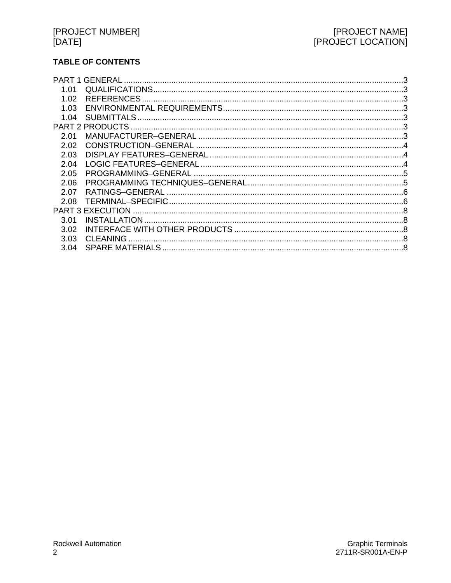# **TABLE OF CONTENTS**

| <b>GENERAL</b>          |  |
|-------------------------|--|
|                         |  |
| <b>REFERENCES</b>       |  |
|                         |  |
| <b>SUBMITTALS</b>       |  |
| <b>PART 2 PRODUCTS</b>  |  |
|                         |  |
|                         |  |
|                         |  |
|                         |  |
|                         |  |
|                         |  |
| RATINGS-GENERAL         |  |
|                         |  |
| <b>PART 3 EXECUTION</b> |  |
| <b>INSTALLATION</b>     |  |
|                         |  |
| <b>CLEANING</b>         |  |
|                         |  |
|                         |  |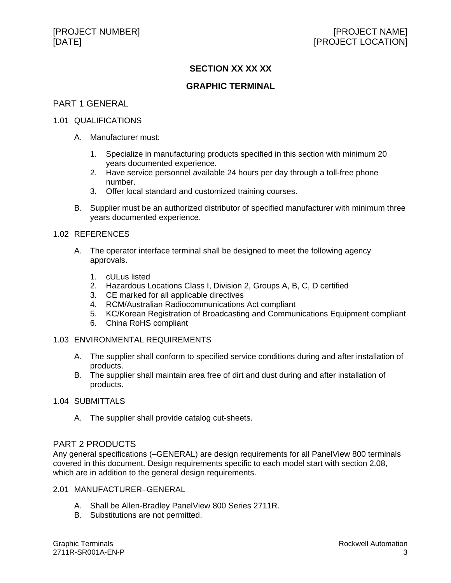# **SECTION XX XX XX**

# **GRAPHIC TERMINAL**

# PART 1 GENERAL

### 1.01 QUALIFICATIONS

- A. Manufacturer must:
	- 1. Specialize in manufacturing products specified in this section with minimum 20 years documented experience.
	- 2. Have service personnel available 24 hours per day through a toll-free phone number.
	- 3. Offer local standard and customized training courses.
- B. Supplier must be an authorized distributor of specified manufacturer with minimum three years documented experience.

### 1.02 REFERENCES

- A. The operator interface terminal shall be designed to meet the following agency approvals.
	- 1. cULus listed
	- 2. Hazardous Locations Class I, Division 2, Groups A, B, C, D certified
	- 3. CE marked for all applicable directives
	- 4. RCM/Australian Radiocommunications Act compliant
	- 5. KC/Korean Registration of Broadcasting and Communications Equipment compliant
	- 6. China RoHS compliant

# 1.03 ENVIRONMENTAL REQUIREMENTS

- A. The supplier shall conform to specified service conditions during and after installation of products.
- B. The supplier shall maintain area free of dirt and dust during and after installation of products.
- 1.04 SUBMITTALS
	- A. The supplier shall provide catalog cut-sheets.

# PART 2 PRODUCTS

Any general specifications (–GENERAL) are design requirements for all PanelView 800 terminals covered in this document. Design requirements specific to each model start with section 2.08, which are in addition to the general design requirements.

### 2.01 MANUFACTURER–GENERAL

- A. Shall be Allen-Bradley PanelView 800 Series 2711R.
- B. Substitutions are not permitted.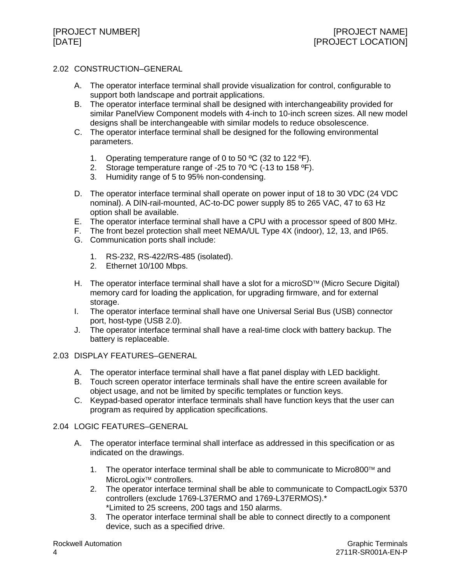# 2.02 CONSTRUCTION–GENERAL

- A. The operator interface terminal shall provide visualization for control, configurable to support both landscape and portrait applications.
- B. The operator interface terminal shall be designed with interchangeability provided for similar PanelView Component models with 4-inch to 10-inch screen sizes. All new model designs shall be interchangeable with similar models to reduce obsolescence.
- C. The operator interface terminal shall be designed for the following environmental parameters.
	- 1. Operating temperature range of 0 to 50 ºC (32 to 122 ºF).
	- 2. Storage temperature range of -25 to 70 °C (-13 to 158 °F).
	- 3. Humidity range of 5 to 95% non-condensing.
- D. The operator interface terminal shall operate on power input of 18 to 30 VDC (24 VDC nominal). A DIN-rail-mounted, AC-to-DC power supply 85 to 265 VAC, 47 to 63 Hz option shall be available.
- E. The operator interface terminal shall have a CPU with a processor speed of 800 MHz.
- F. The front bezel protection shall meet NEMA/UL Type 4X (indoor), 12, 13, and IP65.
- G. Communication ports shall include:
	- 1. RS-232, RS-422/RS-485 (isolated).
	- 2. Ethernet 10/100 Mbps.
- H. The operator interface terminal shall have a slot for a microSD<sup> $M$ </sup> (Micro Secure Digital) memory card for loading the application, for upgrading firmware, and for external storage.
- I. The operator interface terminal shall have one Universal Serial Bus (USB) connector port, host-type (USB 2.0).
- J. The operator interface terminal shall have a real-time clock with battery backup. The battery is replaceable.

### 2.03 DISPLAY FEATURES–GENERAL

- A. The operator interface terminal shall have a flat panel display with LED backlight.
- B. Touch screen operator interface terminals shall have the entire screen available for object usage, and not be limited by specific templates or function keys.
- C. Keypad-based operator interface terminals shall have function keys that the user can program as required by application specifications.

# 2.04 LOGIC FEATURES–GENERAL

- A. The operator interface terminal shall interface as addressed in this specification or as indicated on the drawings.
	- 1. The operator interface terminal shall be able to communicate to Micro800™ and MicroLogix<sup>™</sup> controllers.
	- 2. The operator interface terminal shall be able to communicate to CompactLogix 5370 controllers (exclude 1769-L37ERMO and 1769-L37ERMOS).\* \*Limited to 25 screens, 200 tags and 150 alarms.
	- 3. The operator interface terminal shall be able to connect directly to a component device, such as a specified drive.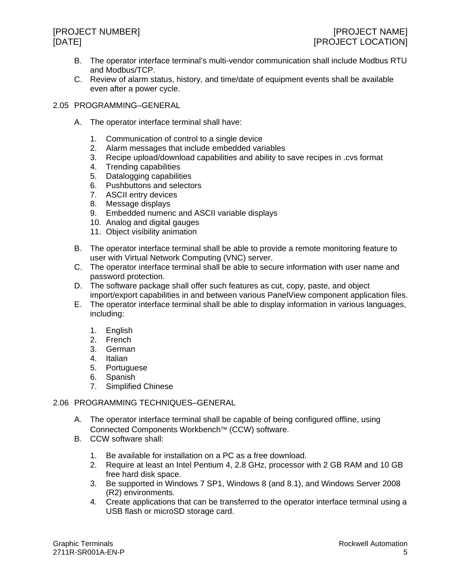- B. The operator interface terminal's multi-vendor communication shall include Modbus RTU and Modbus/TCP.
- C. Review of alarm status, history, and time/date of equipment events shall be available even after a power cycle.
- 2.05 PROGRAMMING–GENERAL
	- A. The operator interface terminal shall have:
		- 1. Communication of control to a single device
		- 2. Alarm messages that include embedded variables
		- 3. Recipe upload/download capabilities and ability to save recipes in .cvs format
		- 4. Trending capabilities
		- 5. Datalogging capabilities
		- 6. Pushbuttons and selectors
		- 7. ASCII entry devices
		- 8. Message displays
		- 9. Embedded numeric and ASCII variable displays
		- 10. Analog and digital gauges
		- 11. Object visibility animation
	- B. The operator interface terminal shall be able to provide a remote monitoring feature to user with Virtual Network Computing (VNC) server.
	- C. The operator interface terminal shall be able to secure information with user name and password protection.
	- D. The software package shall offer such features as cut, copy, paste, and object import/export capabilities in and between various PanelView component application files.
	- E. The operator interface terminal shall be able to display information in various languages, including:
		- 1. English
		- 2. French
		- 3. German
		- 4. Italian
		- 5. Portuguese
		- 6. Spanish
		- 7. Simplified Chinese
- 2.06 PROGRAMMING TECHNIQUES–GENERAL
	- A. The operator interface terminal shall be capable of being configured offline, using Connected Components Workbench<sup>™</sup> (CCW) software.
	- B. CCW software shall:
		- 1. Be available for installation on a PC as a free download.
		- 2. Require at least an Intel Pentium 4, 2.8 GHz, processor with 2 GB RAM and 10 GB free hard disk space.
		- 3. Be supported in Windows 7 SP1, Windows 8 (and 8.1), and Windows Server 2008 (R2) environments.
		- 4. Create applications that can be transferred to the operator interface terminal using a USB flash or microSD storage card.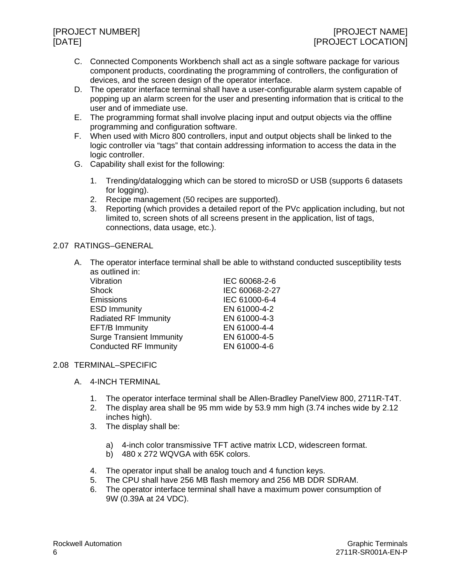- C. Connected Components Workbench shall act as a single software package for various component products, coordinating the programming of controllers, the configuration of devices, and the screen design of the operator interface.
- D. The operator interface terminal shall have a user-configurable alarm system capable of popping up an alarm screen for the user and presenting information that is critical to the user and of immediate use.
- E. The programming format shall involve placing input and output objects via the offline programming and configuration software.
- F. When used with Micro 800 controllers, input and output objects shall be linked to the logic controller via "tags" that contain addressing information to access the data in the logic controller.
- G. Capability shall exist for the following:
	- 1. Trending/datalogging which can be stored to microSD or USB (supports 6 datasets for logging).
	- 2. Recipe management (50 recipes are supported).
	- 3. Reporting (which provides a detailed report of the PVc application including, but not limited to, screen shots of all screens present in the application, list of tags, connections, data usage, etc.).

# 2.07 RATINGS–GENERAL

A. The operator interface terminal shall be able to withstand conducted susceptibility tests as outlined in:

| Vibration                       | IEC 60068-2-6  |
|---------------------------------|----------------|
| <b>Shock</b>                    | IEC 60068-2-27 |
| Emissions                       | IEC 61000-6-4  |
| <b>ESD Immunity</b>             | EN 61000-4-2   |
| Radiated RF Immunity            | EN 61000-4-3   |
| EFT/B Immunity                  | EN 61000-4-4   |
| <b>Surge Transient Immunity</b> | EN 61000-4-5   |
| <b>Conducted RF Immunity</b>    | EN 61000-4-6   |

# 2.08 TERMINAL–SPECIFIC

- A. 4-INCH TERMINAL
	- 1. The operator interface terminal shall be Allen-Bradley PanelView 800, 2711R-T4T.
	- 2. The display area shall be 95 mm wide by 53.9 mm high (3.74 inches wide by 2.12 inches high).
	- 3. The display shall be:
		- a) 4-inch color transmissive TFT active matrix LCD, widescreen format.
		- b) 480 x 272 WQVGA with 65K colors.
	- 4. The operator input shall be analog touch and 4 function keys.
	- 5. The CPU shall have 256 MB flash memory and 256 MB DDR SDRAM.
	- 6. The operator interface terminal shall have a maximum power consumption of 9W (0.39A at 24 VDC).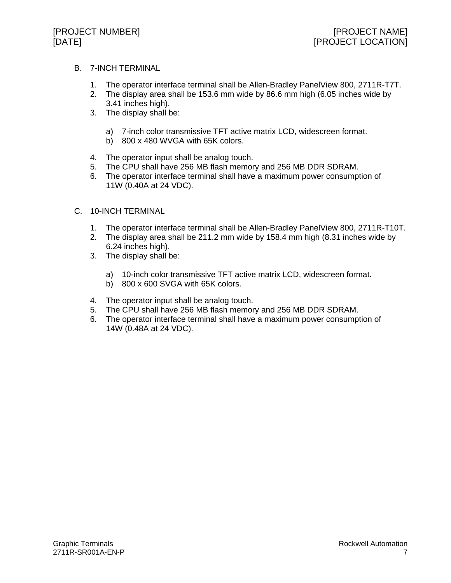# B. 7-INCH TERMINAL

- 1. The operator interface terminal shall be Allen-Bradley PanelView 800, 2711R-T7T.
- 2. The display area shall be 153.6 mm wide by 86.6 mm high (6.05 inches wide by 3.41 inches high).
- 3. The display shall be:
	- a) 7-inch color transmissive TFT active matrix LCD, widescreen format.
	- b) 800 x 480 WVGA with 65K colors.
- 4. The operator input shall be analog touch.
- 5. The CPU shall have 256 MB flash memory and 256 MB DDR SDRAM.
- 6. The operator interface terminal shall have a maximum power consumption of 11W (0.40A at 24 VDC).
- C. 10-INCH TERMINAL
	- 1. The operator interface terminal shall be Allen-Bradley PanelView 800, 2711R-T10T.
	- 2. The display area shall be 211.2 mm wide by 158.4 mm high (8.31 inches wide by 6.24 inches high).
	- 3. The display shall be:
		- a) 10-inch color transmissive TFT active matrix LCD, widescreen format.
		- b) 800 x 600 SVGA with 65K colors.
	- 4. The operator input shall be analog touch.
	- 5. The CPU shall have 256 MB flash memory and 256 MB DDR SDRAM.
	- 6. The operator interface terminal shall have a maximum power consumption of 14W (0.48A at 24 VDC).